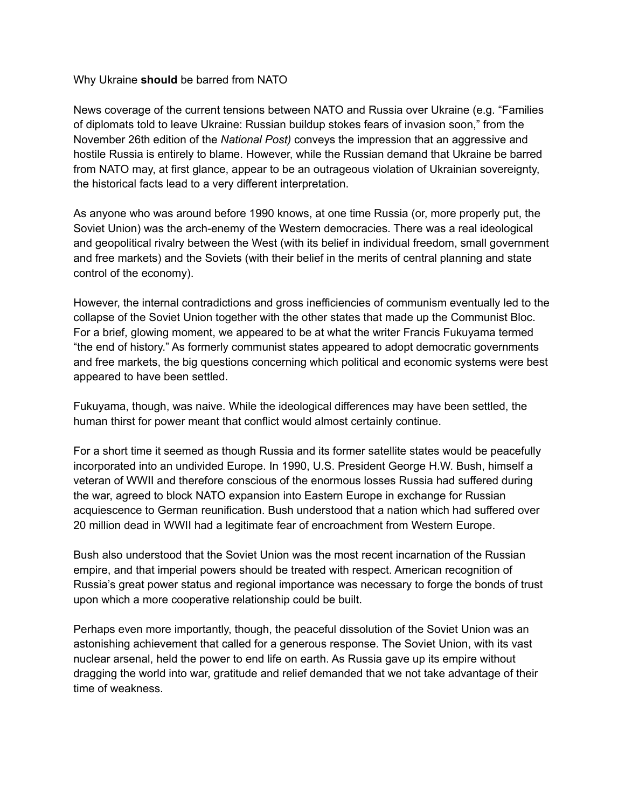## Why Ukraine **should** be barred from NATO

News coverage of the current tensions between NATO and Russia over Ukraine (e.g. "Families of diplomats told to leave Ukraine: Russian buildup stokes fears of invasion soon," from the November 26th edition of the *National Post)* conveys the impression that an aggressive and hostile Russia is entirely to blame. However, while the Russian demand that Ukraine be barred from NATO may, at first glance, appear to be an outrageous violation of Ukrainian sovereignty, the historical facts lead to a very different interpretation.

As anyone who was around before 1990 knows, at one time Russia (or, more properly put, the Soviet Union) was the arch-enemy of the Western democracies. There was a real ideological and geopolitical rivalry between the West (with its belief in individual freedom, small government and free markets) and the Soviets (with their belief in the merits of central planning and state control of the economy).

However, the internal contradictions and gross inefficiencies of communism eventually led to the collapse of the Soviet Union together with the other states that made up the Communist Bloc. For a brief, glowing moment, we appeared to be at what the writer Francis Fukuyama termed "the end of history." As formerly communist states appeared to adopt democratic governments and free markets, the big questions concerning which political and economic systems were best appeared to have been settled.

Fukuyama, though, was naive. While the ideological differences may have been settled, the human thirst for power meant that conflict would almost certainly continue.

For a short time it seemed as though Russia and its former satellite states would be peacefully incorporated into an undivided Europe. In 1990, U.S. President George H.W. Bush, himself a veteran of WWII and therefore conscious of the enormous losses Russia had suffered during the war, agreed to block NATO expansion into Eastern Europe in exchange for Russian acquiescence to German reunification. Bush understood that a nation which had suffered over 20 million dead in WWII had a legitimate fear of encroachment from Western Europe.

Bush also understood that the Soviet Union was the most recent incarnation of the Russian empire, and that imperial powers should be treated with respect. American recognition of Russia's great power status and regional importance was necessary to forge the bonds of trust upon which a more cooperative relationship could be built.

Perhaps even more importantly, though, the peaceful dissolution of the Soviet Union was an astonishing achievement that called for a generous response. The Soviet Union, with its vast nuclear arsenal, held the power to end life on earth. As Russia gave up its empire without dragging the world into war, gratitude and relief demanded that we not take advantage of their time of weakness.